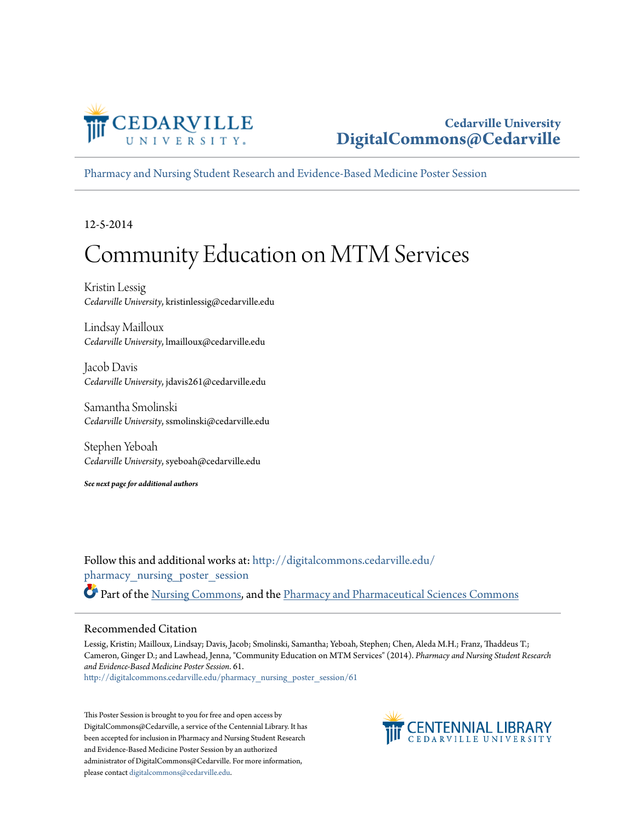

#### **Cedarville University [DigitalCommons@Cedarville](http://digitalcommons.cedarville.edu?utm_source=digitalcommons.cedarville.edu%2Fpharmacy_nursing_poster_session%2F61&utm_medium=PDF&utm_campaign=PDFCoverPages)**

[Pharmacy and Nursing Student Research and Evidence-Based Medicine Poster Session](http://digitalcommons.cedarville.edu/pharmacy_nursing_poster_session?utm_source=digitalcommons.cedarville.edu%2Fpharmacy_nursing_poster_session%2F61&utm_medium=PDF&utm_campaign=PDFCoverPages)

12-5-2014

#### Community Education on MTM Services

Kristin Lessig *Cedarville University*, kristinlessig@cedarville.edu

Lindsay Mailloux *Cedarville University*, lmailloux@cedarville.edu

Jacob Davis *Cedarville University*, jdavis261@cedarville.edu

Samantha Smolinski *Cedarville University*, ssmolinski@cedarville.edu

Stephen Yeboah *Cedarville University*, syeboah@cedarville.edu

*See next page for additional authors*

Follow this and additional works at: [http://digitalcommons.cedarville.edu/](http://digitalcommons.cedarville.edu/pharmacy_nursing_poster_session?utm_source=digitalcommons.cedarville.edu%2Fpharmacy_nursing_poster_session%2F61&utm_medium=PDF&utm_campaign=PDFCoverPages) [pharmacy\\_nursing\\_poster\\_session](http://digitalcommons.cedarville.edu/pharmacy_nursing_poster_session?utm_source=digitalcommons.cedarville.edu%2Fpharmacy_nursing_poster_session%2F61&utm_medium=PDF&utm_campaign=PDFCoverPages) Part of the [Nursing Commons](http://network.bepress.com/hgg/discipline/718?utm_source=digitalcommons.cedarville.edu%2Fpharmacy_nursing_poster_session%2F61&utm_medium=PDF&utm_campaign=PDFCoverPages), and the [Pharmacy and Pharmaceutical Sciences Commons](http://network.bepress.com/hgg/discipline/731?utm_source=digitalcommons.cedarville.edu%2Fpharmacy_nursing_poster_session%2F61&utm_medium=PDF&utm_campaign=PDFCoverPages)

#### Recommended Citation

Lessig, Kristin; Mailloux, Lindsay; Davis, Jacob; Smolinski, Samantha; Yeboah, Stephen; Chen, Aleda M.H.; Franz, Thaddeus T.; Cameron, Ginger D.; and Lawhead, Jenna, "Community Education on MTM Services" (2014). *Pharmacy and Nursing Student Research and Evidence-Based Medicine Poster Session*. 61.

[http://digitalcommons.cedarville.edu/pharmacy\\_nursing\\_poster\\_session/61](http://digitalcommons.cedarville.edu/pharmacy_nursing_poster_session/61?utm_source=digitalcommons.cedarville.edu%2Fpharmacy_nursing_poster_session%2F61&utm_medium=PDF&utm_campaign=PDFCoverPages)

This Poster Session is brought to you for free and open access by DigitalCommons@Cedarville, a service of the Centennial Library. It has been accepted for inclusion in Pharmacy and Nursing Student Research and Evidence-Based Medicine Poster Session by an authorized administrator of DigitalCommons@Cedarville. For more information, please contact [digitalcommons@cedarville.edu.](mailto:digitalcommons@cedarville.edu)

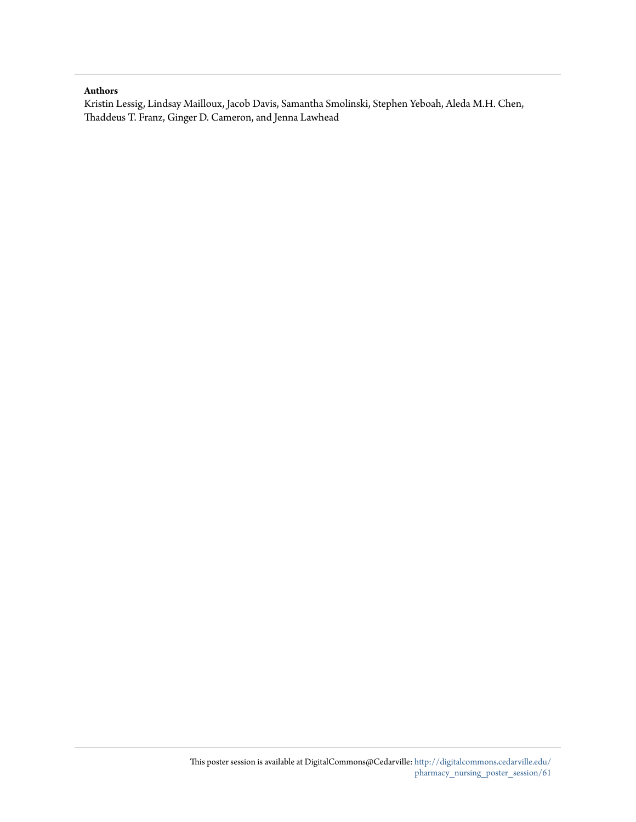#### **Authors**

Kristin Lessig, Lindsay Mailloux, Jacob Davis, Samantha Smolinski, Stephen Yeboah, Aleda M.H. Chen, Thaddeus T. Franz, Ginger D. Cameron, and Jenna Lawhead